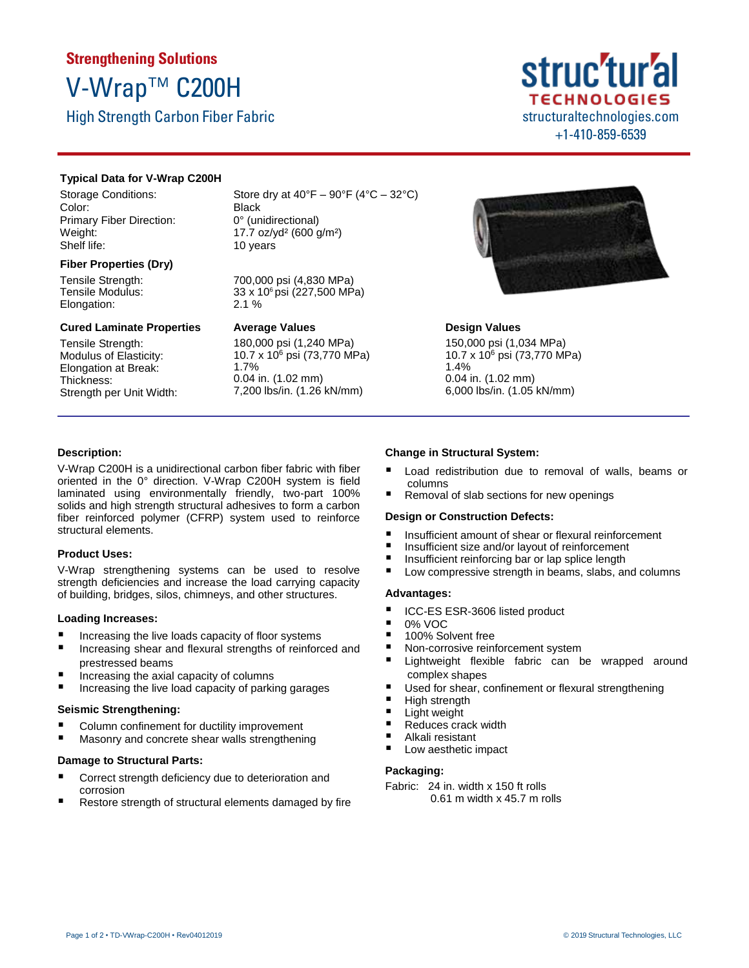# **Strengthening Solutions** V-Wrap™ C200H

High Strength Carbon Fiber Fabric

## struc'tur'al **TECHNOLOGIES** structuraltechnologies.com +1-410-859-6539

#### **Typical Data for V-Wrap C200H**

Storage Conditions: Color: Primary Fiber Direction: Weight: Shelf life:

#### **Fiber Properties (Dry)**

Tensile Strength: Tensile Modulus: Elongation:

#### **Cured Laminate Properties**

Tensile Strength: Modulus of Elasticity: Elongation at Break: Thickness: Strength per Unit Width: Store dry at  $40^{\circ}F - 90^{\circ}F (4^{\circ}C - 32^{\circ}C)$ Black 0° (unidirectional) 17.7 oz/yd² (600 g/m²) 10 years

700,000 psi (4,830 MPa) 33 x 106 psi (227,500 MPa) 2.1 %

#### **Average Values**

180,000 psi (1,240 MPa) 10.7 x 10<sup>6</sup> psi (73,770 MPa) 1.7% 0.04 in. (1.02 mm) 7,200 lbs/in. (1.26 kN/mm)



#### **Design Values**

150,000 psi (1,034 MPa) 10.7 x 10<sup>6</sup> psi (73,770 MPa) 1.4% 0.04 in. (1.02 mm) 6,000 lbs/in. (1.05 kN/mm)

#### **Description:**

V-Wrap C200H is a unidirectional carbon fiber fabric with fiber oriented in the 0° direction. V-Wrap C200H system is field laminated using environmentally friendly, two-part 100% solids and high strength structural adhesives to form a carbon fiber reinforced polymer (CFRP) system used to reinforce structural elements.

#### **Product Uses:**

V-Wrap strengthening systems can be used to resolve strength deficiencies and increase the load carrying capacity of building, bridges, silos, chimneys, and other structures.

#### **Loading Increases:**

- Increasing the live loads capacity of floor systems
- Increasing shear and flexural strengths of reinforced and prestressed beams
- $\blacksquare$  Increasing the axial capacity of columns
- Increasing the live load capacity of parking garages

#### **Seismic Strengthening:**

- Column confinement for ductility improvement
- Masonry and concrete shear walls strengthening

#### **Damage to Structural Parts:**

- Correct strength deficiency due to deterioration and corrosion
- Restore strength of structural elements damaged by fire

#### **Change in Structural System:**

- Load redistribution due to removal of walls, beams or columns
- Removal of slab sections for new openings

#### **Design or Construction Defects:**

- Insufficient amount of shear or flexural reinforcement
- $\blacksquare$  Insufficient size and/or layout of reinforcement
- $\blacksquare$  Insufficient reinforcing bar or lap splice length
- Low compressive strength in beams, slabs, and columns

#### **Advantages:**

- ICC-ES ESR-3606 listed product
- $\frac{10\%}{100\%}$  So
- 100% Solvent free
- Non-corrosive reinforcement system
- Lightweight flexible fabric can be wrapped around complex shapes
- Used for shear, confinement or flexural strengthening
- **High strength**
- **Light weight**
- Reduces crack width
- Alkali resistant
- Low aesthetic impact

#### **Packaging:**

Fabric: 24 in. width x 150 ft rolls 0.61 m width x 45.7 m rolls